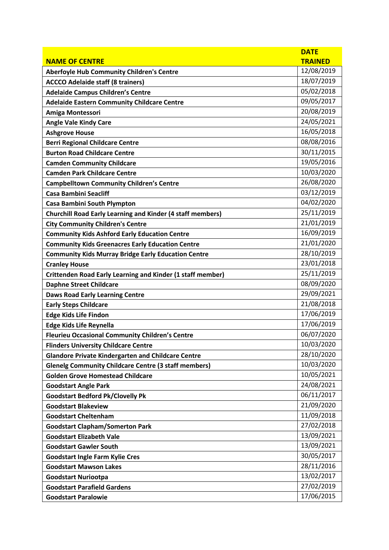|                                                                   | <b>DATE</b>    |
|-------------------------------------------------------------------|----------------|
| <b>NAME OF CENTRE</b>                                             | <b>TRAINED</b> |
| <b>Aberfoyle Hub Community Children's Centre</b>                  | 12/08/2019     |
| <b>ACCCO Adelaide staff (8 trainers)</b>                          | 18/07/2019     |
| <b>Adelaide Campus Children's Centre</b>                          | 05/02/2018     |
| <b>Adelaide Eastern Community Childcare Centre</b>                | 09/05/2017     |
| Amiga Montessori                                                  | 20/08/2019     |
| <b>Angle Vale Kindy Care</b>                                      | 24/05/2021     |
| <b>Ashgrove House</b>                                             | 16/05/2018     |
| <b>Berri Regional Childcare Centre</b>                            | 08/08/2016     |
| <b>Burton Road Childcare Centre</b>                               | 30/11/2015     |
| <b>Camden Community Childcare</b>                                 | 19/05/2016     |
| <b>Camden Park Childcare Centre</b>                               | 10/03/2020     |
| <b>Campbelltown Community Children's Centre</b>                   | 26/08/2020     |
| <b>Casa Bambini Seacliff</b>                                      | 03/12/2019     |
| <b>Casa Bambini South Plympton</b>                                | 04/02/2020     |
| <b>Churchill Road Early Learning and Kinder (4 staff members)</b> | 25/11/2019     |
| <b>City Community Children's Centre</b>                           | 21/01/2019     |
| <b>Community Kids Ashford Early Education Centre</b>              | 16/09/2019     |
| <b>Community Kids Greenacres Early Education Centre</b>           | 21/01/2020     |
| <b>Community Kids Murray Bridge Early Education Centre</b>        | 28/10/2019     |
| <b>Cranley House</b>                                              | 23/01/2018     |
| <b>Crittenden Road Early Learning and Kinder (1 staff member)</b> | 25/11/2019     |
| <b>Daphne Street Childcare</b>                                    | 08/09/2020     |
| <b>Daws Road Early Learning Centre</b>                            | 29/09/2021     |
| <b>Early Steps Childcare</b>                                      | 21/08/2018     |
| <b>Edge Kids Life Findon</b>                                      | 17/06/2019     |
| <b>Edge Kids Life Reynella</b>                                    | 17/06/2019     |
| <b>Fleurieu Occasional Community Children's Centre</b>            | 06/07/2020     |
| <b>Flinders University Childcare Centre</b>                       | 10/03/2020     |
| <b>Glandore Private Kindergarten and Childcare Centre</b>         | 28/10/2020     |
| <b>Glenelg Community Childcare Centre (3 staff members)</b>       | 10/03/2020     |
| <b>Golden Grove Homestead Childcare</b>                           | 10/05/2021     |
| <b>Goodstart Angle Park</b>                                       | 24/08/2021     |
| <b>Goodstart Bedford Pk/Clovelly Pk</b>                           | 06/11/2017     |
| <b>Goodstart Blakeview</b>                                        | 21/09/2020     |
| <b>Goodstart Cheltenham</b>                                       | 11/09/2018     |
| <b>Goodstart Clapham/Somerton Park</b>                            | 27/02/2018     |
| <b>Goodstart Elizabeth Vale</b>                                   | 13/09/2021     |
| <b>Goodstart Gawler South</b>                                     | 13/09/2021     |
| <b>Goodstart Ingle Farm Kylie Cres</b>                            | 30/05/2017     |
| <b>Goodstart Mawson Lakes</b>                                     | 28/11/2016     |
| <b>Goodstart Nuriootpa</b>                                        | 13/02/2017     |
| <b>Goodstart Parafield Gardens</b>                                | 27/02/2019     |
| <b>Goodstart Paralowie</b>                                        | 17/06/2015     |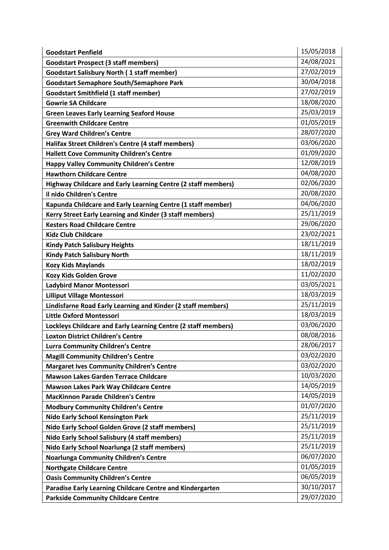| <b>Goodstart Penfield</b>                                      | 15/05/2018 |
|----------------------------------------------------------------|------------|
| <b>Goodstart Prospect (3 staff members)</b>                    | 24/08/2021 |
| <b>Goodstart Salisbury North (1 staff member)</b>              | 27/02/2019 |
| <b>Goodstart Semaphore South/Semaphore Park</b>                | 30/04/2018 |
| <b>Goodstart Smithfield (1 staff member)</b>                   | 27/02/2019 |
| <b>Gowrie SA Childcare</b>                                     | 18/08/2020 |
| <b>Green Leaves Early Learning Seaford House</b>               | 25/03/2019 |
| <b>Greenwith Childcare Centre</b>                              | 01/05/2019 |
| <b>Grey Ward Children's Centre</b>                             | 28/07/2020 |
| Halifax Street Children's Centre (4 staff members)             | 03/06/2020 |
| <b>Hallett Cove Community Children's Centre</b>                | 01/09/2020 |
| <b>Happy Valley Community Children's Centre</b>                | 12/08/2019 |
| <b>Hawthorn Childcare Centre</b>                               | 04/08/2020 |
| Highway Childcare and Early Learning Centre (2 staff members)  | 02/06/2020 |
| il nido Children's Centre                                      | 20/08/2020 |
| Kapunda Childcare and Early Learning Centre (1 staff member)   | 04/06/2020 |
| Kerry Street Early Learning and Kinder (3 staff members)       | 25/11/2019 |
| <b>Kesters Road Childcare Centre</b>                           | 29/06/2020 |
| <b>Kidz Club Childcare</b>                                     | 23/02/2021 |
| <b>Kindy Patch Salisbury Heights</b>                           | 18/11/2019 |
| <b>Kindy Patch Salisbury North</b>                             | 18/11/2019 |
| <b>Kozy Kids Maylands</b>                                      | 18/02/2019 |
| Kozy Kids Golden Grove                                         | 11/02/2020 |
| Ladybird Manor Montessori                                      | 03/05/2021 |
| <b>Lilliput Village Montessori</b>                             | 18/03/2019 |
| Lindisfarne Road Early Learning and Kinder (2 staff members)   | 25/11/2019 |
| <b>Little Oxford Montessori</b>                                | 18/03/2019 |
| Lockleys Childcare and Early Learning Centre (2 staff members) | 03/06/2020 |
| <b>Loxton District Children's Centre</b>                       | 08/08/2016 |
| <b>Lurra Community Children's Centre</b>                       | 28/06/2017 |
| <b>Magill Community Children's Centre</b>                      | 03/02/2020 |
| <b>Margaret Ives Community Children's Centre</b>               | 03/02/2020 |
| Mawson Lakes Garden Terrace Childcare                          | 10/03/2020 |
| <b>Mawson Lakes Park Way Childcare Centre</b>                  | 14/05/2019 |
| <b>MacKinnon Parade Children's Centre</b>                      | 14/05/2019 |
| <b>Modbury Community Children's Centre</b>                     | 01/07/2020 |
| <b>Nido Early School Kensington Park</b>                       | 25/11/2019 |
| Nido Early School Golden Grove (2 staff members)               | 25/11/2019 |
| Nido Early School Salisbury (4 staff members)                  | 25/11/2019 |
| Nido Early School Noarlunga (2 staff members)                  | 25/11/2019 |
| <b>Noarlunga Community Children's Centre</b>                   | 06/07/2020 |
| <b>Northgate Childcare Centre</b>                              | 01/05/2019 |
| <b>Oasis Community Children's Centre</b>                       | 06/05/2019 |
| Paradise Early Learning Childcare Centre and Kindergarten      | 30/10/2017 |
| <b>Parkside Community Childcare Centre</b>                     | 29/07/2020 |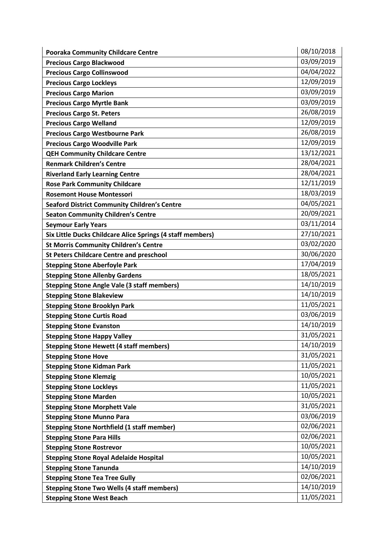| <b>Pooraka Community Childcare Centre</b>                  | 08/10/2018 |
|------------------------------------------------------------|------------|
| <b>Precious Cargo Blackwood</b>                            | 03/09/2019 |
| <b>Precious Cargo Collinswood</b>                          | 04/04/2022 |
| <b>Precious Cargo Lockleys</b>                             | 12/09/2019 |
| <b>Precious Cargo Marion</b>                               | 03/09/2019 |
| <b>Precious Cargo Myrtle Bank</b>                          | 03/09/2019 |
| <b>Precious Cargo St. Peters</b>                           | 26/08/2019 |
| <b>Precious Cargo Welland</b>                              | 12/09/2019 |
| <b>Precious Cargo Westbourne Park</b>                      | 26/08/2019 |
| <b>Precious Cargo Woodville Park</b>                       | 12/09/2019 |
| <b>QEH Community Childcare Centre</b>                      | 13/12/2021 |
| <b>Renmark Children's Centre</b>                           | 28/04/2021 |
| <b>Riverland Early Learning Centre</b>                     | 28/04/2021 |
| <b>Rose Park Community Childcare</b>                       | 12/11/2019 |
| <b>Rosemont House Montessori</b>                           | 18/03/2019 |
| <b>Seaford District Community Children's Centre</b>        | 04/05/2021 |
| <b>Seaton Community Children's Centre</b>                  | 20/09/2021 |
| <b>Seymour Early Years</b>                                 | 03/11/2014 |
| Six Little Ducks Childcare Alice Springs (4 staff members) | 27/10/2021 |
| <b>St Morris Community Children's Centre</b>               | 03/02/2020 |
| <b>St Peters Childcare Centre and preschool</b>            | 30/06/2020 |
| <b>Stepping Stone Aberfoyle Park</b>                       | 17/04/2019 |
| <b>Stepping Stone Allenby Gardens</b>                      | 18/05/2021 |
| <b>Stepping Stone Angle Vale (3 staff members)</b>         | 14/10/2019 |
| <b>Stepping Stone Blakeview</b>                            | 14/10/2019 |
| <b>Stepping Stone Brooklyn Park</b>                        | 11/05/2021 |
| <b>Stepping Stone Curtis Road</b>                          | 03/06/2019 |
| <b>Stepping Stone Evanston</b>                             | 14/10/2019 |
| <b>Stepping Stone Happy Valley</b>                         | 31/05/2021 |
| <b>Stepping Stone Hewett (4 staff members)</b>             | 14/10/2019 |
| <b>Stepping Stone Hove</b>                                 | 31/05/2021 |
| <b>Stepping Stone Kidman Park</b>                          | 11/05/2021 |
| <b>Stepping Stone Klemzig</b>                              | 10/05/2021 |
| <b>Stepping Stone Lockleys</b>                             | 11/05/2021 |
| <b>Stepping Stone Marden</b>                               | 10/05/2021 |
| <b>Stepping Stone Morphett Vale</b>                        | 31/05/2021 |
| <b>Stepping Stone Munno Para</b>                           | 03/06/2019 |
| <b>Stepping Stone Northfield (1 staff member)</b>          | 02/06/2021 |
| <b>Stepping Stone Para Hills</b>                           | 02/06/2021 |
| <b>Stepping Stone Rostrevor</b>                            | 10/05/2021 |
| <b>Stepping Stone Royal Adelaide Hospital</b>              | 10/05/2021 |
| <b>Stepping Stone Tanunda</b>                              | 14/10/2019 |
| <b>Stepping Stone Tea Tree Gully</b>                       | 02/06/2021 |
| <b>Stepping Stone Two Wells (4 staff members)</b>          | 14/10/2019 |
| <b>Stepping Stone West Beach</b>                           | 11/05/2021 |